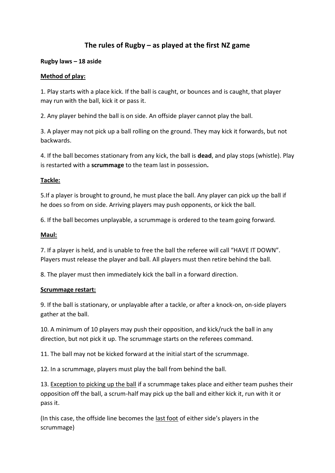# **The rules of Rugby – as played at the first NZ game**

# **Rugby laws – 18 aside**

### **Method of play:**

1. Play starts with a place kick. If the ball is caught, or bounces and is caught, that player may run with the ball, kick it or pass it.

2. Any player behind the ball is on side. An offside player cannot play the ball.

3. A player may not pick up a ball rolling on the ground. They may kick it forwards, but not backwards.

4. If the ball becomes stationary from any kick, the ball is **dead**, and play stops (whistle). Play is restarted with a **scrummage** to the team last in possession**.**

# **Tackle:**

5.If a player is brought to ground, he must place the ball. Any player can pick up the ball if he does so from on side. Arriving players may push opponents, or kick the ball.

6. If the ball becomes unplayable, a scrummage is ordered to the team going forward.

# **Maul:**

7. If a player is held, and is unable to free the ball the referee will call "HAVE IT DOWN". Players must release the player and ball. All players must then retire behind the ball.

8. The player must then immediately kick the ball in a forward direction.

### **Scrummage restart:**

9. If the ball is stationary, or unplayable after a tackle, or after a knock-on, on-side players gather at the ball.

10. A minimum of 10 players may push their opposition, and kick/ruck the ball in any direction, but not pick it up. The scrummage starts on the referees command.

11. The ball may not be kicked forward at the initial start of the scrummage.

12. In a scrummage, players must play the ball from behind the ball.

13. Exception to picking up the ball if a scrummage takes place and either team pushes their opposition off the ball, a scrum-half may pick up the ball and either kick it, run with it or pass it.

(In this case, the offside line becomes the last foot of either side's players in the scrummage)